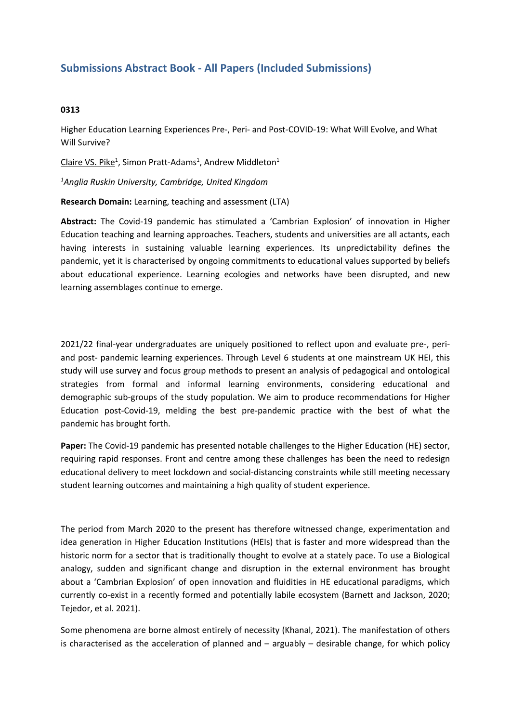## **Submissions Abstract Book - All Papers (Included Submissions)**

## **0313**

Higher Education Learning Experiences Pre-, Peri- and Post-COVID-19: What Will Evolve, and What Will Survive?

Claire VS. Pike<sup>1</sup>, Simon Pratt-Adams<sup>1</sup>, Andrew Middleton<sup>1</sup>

*1 Anglia Ruskin University, Cambridge, United Kingdom*

**Research Domain:** Learning, teaching and assessment (LTA)

**Abstract:** The Covid-19 pandemic has stimulated <sup>a</sup> 'Cambrian Explosion' of innovation in Higher Education teaching and learning approaches. Teachers, students and universities are all actants, each having interests in sustaining valuable learning experiences. Its unpredictability defines the pandemic, yet it is characterised by ongoing commitments to educational values supported by beliefs about educational experience. Learning ecologies and networks have been disrupted, and new learning assemblages continue to emerge.

2021/22 final-year undergraduates are uniquely positioned to reflect upon and evaluate pre-, periand post- pandemic learning experiences. Through Level 6 students at one mainstream UK HEI, this study will use survey and focus group methods to present an analysis of pedagogical and ontological strategies from formal and informal learning environments, considering educational and demographic sub-groups of the study population. We aim to produce recommendations for Higher Education post-Covid-19, melding the best pre-pandemic practice with the best of what the pandemic has brought forth.

**Paper:** The Covid-19 pandemic has presented notable challenges to the Higher Education (HE) sector, requiring rapid responses. Front and centre among these challenges has been the need to redesign educational delivery to meet lockdown and social-distancing constraints while still meeting necessary student learning outcomes and maintaining <sup>a</sup> high quality of student experience.

The period from March 2020 to the present has therefore witnessed change, experimentation and idea generation in Higher Education Institutions (HEIs) that is faster and more widespread than the historic norm for <sup>a</sup> sector that is traditionally thought to evolve at <sup>a</sup> stately pace. To use <sup>a</sup> Biological analogy, sudden and significant change and disruption in the external environment has brought about <sup>a</sup> 'Cambrian Explosion' of open innovation and fluidities in HE educational paradigms, which currently co-exist in <sup>a</sup> recently formed and potentially labile ecosystem (Barnett and Jackson, 2020; Tejedor, et al. 2021).

Some phenomena are borne almost entirely of necessity (Khanal, 2021). The manifestation of others is characterised as the acceleration of planned and – arguably – desirable change, for which policy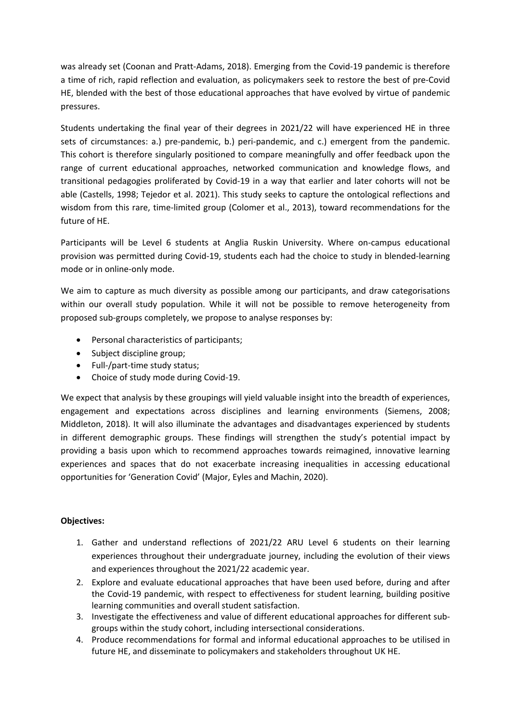was already set (Coonan and Pratt-Adams, 2018). Emerging from the Covid-19 pandemic is therefore <sup>a</sup> time of rich, rapid reflection and evaluation, as policymakers seek to restore the best of pre-Covid HE, blended with the best of those educational approaches that have evolved by virtue of pandemic pressures.

Students undertaking the final year of their degrees in 2021/22 will have experienced HE in three sets of circumstances: a.) pre-pandemic, b.) peri-pandemic, and c.) emergent from the pandemic. This cohort is therefore singularly positioned to compare meaningfully and offer feedback upon the range of current educational approaches, networked communication and knowledge flows, and transitional pedagogies proliferated by Covid-19 in <sup>a</sup> way that earlier and later cohorts will not be able (Castells, 1998; Tejedor et al. 2021). This study seeks to capture the ontological reflections and wisdom from this rare, time-limited group (Colomer et al., 2013), toward recommendations for the future of HE.

Participants will be Level 6 students at Anglia Ruskin University. Where on-campus educational provision was permitted during Covid-19, students each had the choice to study in blended-learning mode or in online-only mode.

We aim to capture as much diversity as possible among our participants, and draw categorisations within our overall study population. While it will not be possible to remove heterogeneity from proposed sub-groups completely, we propose to analyse responses by:

- Personal characteristics of participants;
- Subject discipline group;
- Full-/part-time study status;
- Choice of study mode during Covid-19.

We expect that analysis by these groupings will yield valuable insight into the breadth of experiences, engagement and expectations across disciplines and learning environments (Siemens, 2008; Middleton, 2018). It will also illuminate the advantages and disadvantages experienced by students in different demographic groups. These findings will strengthen the study's potential impact by providing <sup>a</sup> basis upon which to recommend approaches towards reimagined, innovative learning experiences and spaces that do not exacerbate increasing inequalities in accessing educational opportunities for 'Generation Covid' (Major, Eyles and Machin, 2020).

## **Objectives:**

- 1. Gather and understand reflections of 2021/22 ARU Level 6 students on their learning experiences throughout their undergraduate journey, including the evolution of their views and experiences throughout the 2021/22 academic year.
- 2. Explore and evaluate educational approaches that have been used before, during and after the Covid-19 pandemic, with respect to effectiveness for student learning, building positive learning communities and overall student satisfaction.
- 3. Investigate the effectiveness and value of different educational approaches for different subgroups within the study cohort, including intersectional considerations.
- 4. Produce recommendations for formal and informal educational approaches to be utilised in future HE, and disseminate to policymakers and stakeholders throughout UK HE.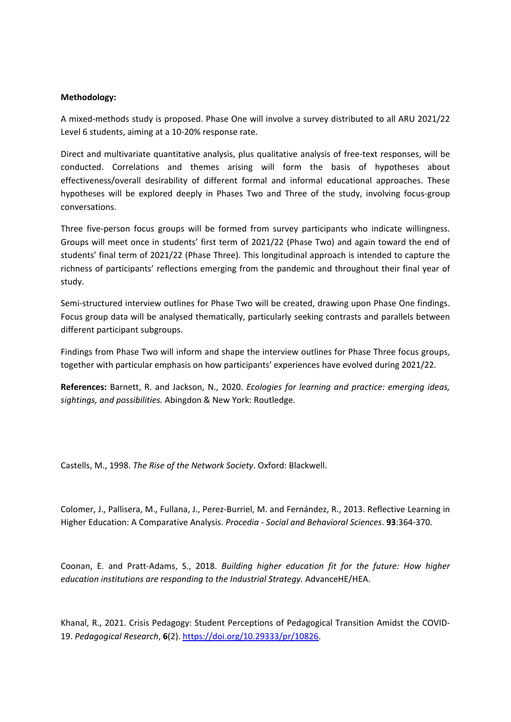## **Methodology:**

A mixed-methods study is proposed. Phase One will involve <sup>a</sup> survey distributed to all ARU 2021/22 Level 6 students, aiming at <sup>a</sup> 10-20% response rate.

Direct and multivariate quantitative analysis, plus qualitative analysis of free-text responses, will be conducted. Correlations and themes arising will form the basis of hypotheses about effectiveness/overall desirability of different formal and informal educational approaches. These hypotheses will be explored deeply in Phases Two and Three of the study, involving focus-group conversations.

Three five-person focus groups will be formed from survey participants who indicate willingness. Groups will meet once in students' first term of 2021/22 (Phase Two) and again toward the end of students' final term of 2021/22 (Phase Three). This longitudinal approach is intended to capture the richness of participants' reflections emerging from the pandemic and throughout their final year of study.

Semi-structured interview outlines for Phase Two will be created, drawing upon Phase One findings. Focus group data will be analysed thematically, particularly seeking contrasts and parallels between different participant subgroups.

Findings from Phase Two will inform and shape the interview outlines for Phase Three focus groups, together with particular emphasis on how participants' experiences have evolved during 2021/22.

**References:** Barnett, R. and Jackson, N., 2020. *Ecologies for learning and practice: emerging ideas, sightings, and possibilities.* Abingdon & New York: Routledge.

Castells, M., 1998. *The Rise of the Network Society*. Oxford: Blackwell.

Colomer, J., Pallisera, M., Fullana, J., Perez-Burriel, M. and Fernández, R., 2013. Reflective Learning in Higher Education: A Comparative Analysis. *Procedia - Social and Behavioral Sciences*. **93**:364-370.

Coonan, E. and Pratt-Adams, S., 2018. *Building higher education fit for the future: How higher education institutions are responding to the Industrial Strategy.* AdvanceHE/HEA.

Khanal, R., 2021. Crisis Pedagogy: Student Perceptions of Pedagogical Transition Amidst the COVID-19. *Pedagogical Research*, **6**(2). <https://doi.org/10.29333/pr/10826>.